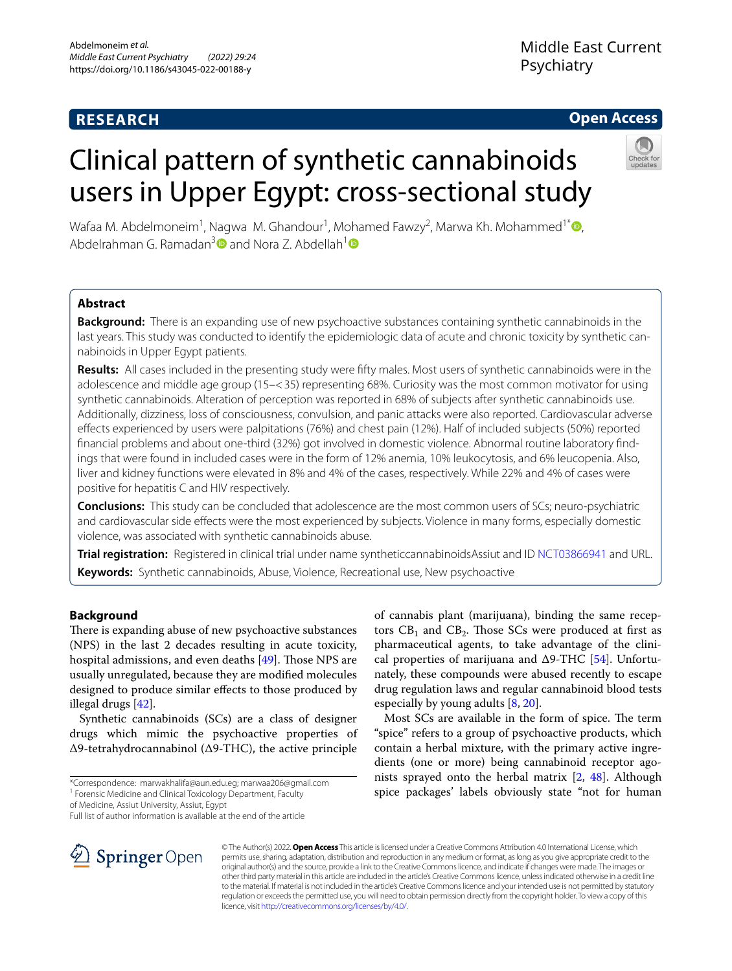# **RESEARCH**

# **Open Access**

# Clinical pattern of synthetic cannabinoids users in Upper Egypt: cross-sectional study



Wafaa M. Abdelmoneim1 , Nagwa M. Ghandour1 , Mohamed Fawzy2 , Marwa Kh. Mohammed1[\\*](http://orcid.org/0000-0002-2398-1767) , Abdelrahman G. Ramadan<sup>[3](https://orcid.org/0000-0001-7956-1369)</sup> and Nora Z. Abdellah<sup>[1](https://orcid.org/0000-0003-1463-1009)</sup>

# **Abstract**

**Background:** There is an expanding use of new psychoactive substances containing synthetic cannabinoids in the last years. This study was conducted to identify the epidemiologic data of acute and chronic toxicity by synthetic cannabinoids in Upper Egypt patients.

**Results:** All cases included in the presenting study were ffty males. Most users of synthetic cannabinoids were in the adolescence and middle age group (15–<35) representing 68%. Curiosity was the most common motivator for using synthetic cannabinoids. Alteration of perception was reported in 68% of subjects after synthetic cannabinoids use. Additionally, dizziness, loss of consciousness, convulsion, and panic attacks were also reported. Cardiovascular adverse efects experienced by users were palpitations (76%) and chest pain (12%). Half of included subjects (50%) reported fnancial problems and about one-third (32%) got involved in domestic violence. Abnormal routine laboratory fndings that were found in included cases were in the form of 12% anemia, 10% leukocytosis, and 6% leucopenia. Also, liver and kidney functions were elevated in 8% and 4% of the cases, respectively. While 22% and 4% of cases were positive for hepatitis C and HIV respectively.

**Conclusions:** This study can be concluded that adolescence are the most common users of SCs; neuro-psychiatric and cardiovascular side efects were the most experienced by subjects. Violence in many forms, especially domestic violence, was associated with synthetic cannabinoids abuse.

**Trial registration:** Registered in clinical trial under name syntheticcannabinoidsAssiut and ID [NCT03866941](https://clinicaltrials.gov/ct2/show/NCT03866941) and URL. **Keywords:** Synthetic cannabinoids, Abuse, Violence, Recreational use, New psychoactive

# **Background**

There is expanding abuse of new psychoactive substances (NPS) in the last 2 decades resulting in acute toxicity, hospital admissions, and even deaths [[49\]](#page-10-0). Those NPS are usually unregulated, because they are modifed molecules designed to produce similar efects to those produced by illegal drugs [[42](#page-10-1)].

Synthetic cannabinoids (SCs) are a class of designer drugs which mimic the psychoactive properties of Δ9-tetrahydrocannabinol (Δ9-THC), the active principle

Full list of author information is available at the end of the article



© The Author(s) 2022. **Open Access** This article is licensed under a Creative Commons Attribution 4.0 International License, which permits use, sharing, adaptation, distribution and reproduction in any medium or format, as long as you give appropriate credit to the original author(s) and the source, provide a link to the Creative Commons licence, and indicate if changes were made. The images or other third party material in this article are included in the article's Creative Commons licence, unless indicated otherwise in a credit line to the material. If material is not included in the article's Creative Commons licence and your intended use is not permitted by statutory regulation or exceeds the permitted use, you will need to obtain permission directly from the copyright holder. To view a copy of this licence, visit [http://creativecommons.org/licenses/by/4.0/.](http://creativecommons.org/licenses/by/4.0/)

especially by young adults [\[8](#page-9-0), [20\]](#page-10-3).

of cannabis plant (marijuana), binding the same receptors  $CB_1$  and  $CB_2$ . Those SCs were produced at first as pharmaceutical agents, to take advantage of the clinical properties of marijuana and  $\Delta$ 9-THC [\[54](#page-10-2)]. Unfortunately, these compounds were abused recently to escape drug regulation laws and regular cannabinoid blood tests

Most SCs are available in the form of spice. The term "spice" refers to a group of psychoactive products, which contain a herbal mixture, with the primary active ingredients (one or more) being cannabinoid receptor agonists sprayed onto the herbal matrix [[2,](#page-9-1) [48](#page-10-4)]. Although spice packages' labels obviously state "not for human

<sup>\*</sup>Correspondence: marwakhalifa@aun.edu.eg; marwaa206@gmail.com

<sup>&</sup>lt;sup>1</sup> Forensic Medicine and Clinical Toxicology Department, Faculty

of Medicine, Assiut University, Assiut, Egypt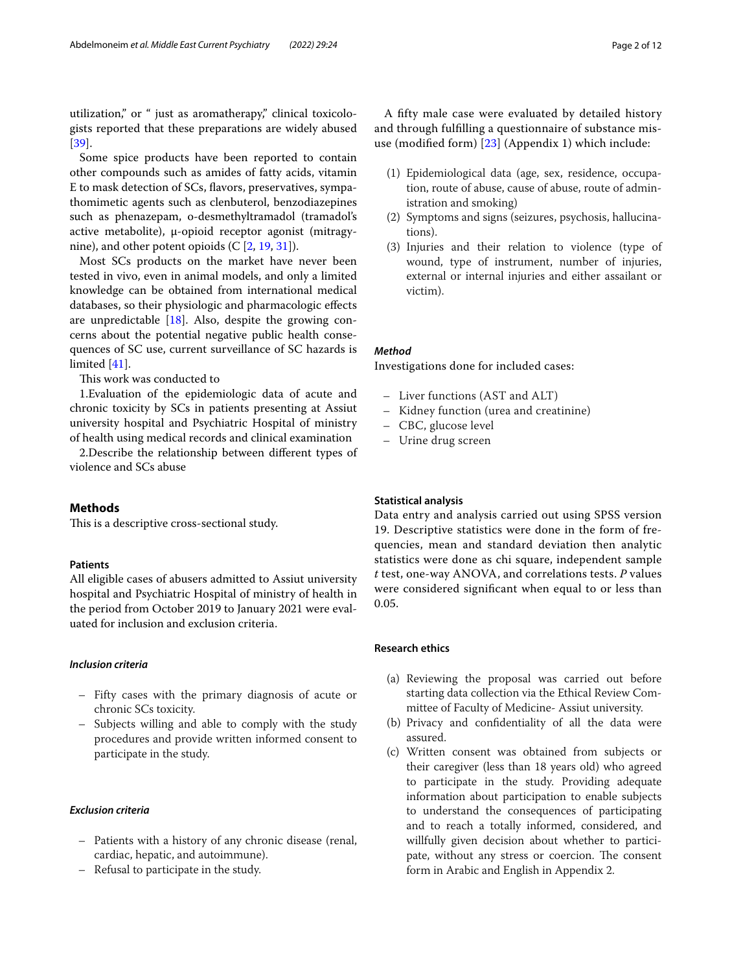utilization," or " just as aromatherapy," clinical toxicologists reported that these preparations are widely abused [[39\]](#page-10-5).

Some spice products have been reported to contain other compounds such as amides of fatty acids, vitamin E to mask detection of SCs, favors, preservatives, sympathomimetic agents such as clenbuterol, benzodiazepines such as phenazepam, o-desmethyltramadol (tramadol's active metabolite), μ-opioid receptor agonist (mitragynine), and other potent opioids (C [[2,](#page-9-1) [19](#page-10-6), [31\]](#page-10-7)).

Most SCs products on the market have never been tested in vivo, even in animal models, and only a limited knowledge can be obtained from international medical databases, so their physiologic and pharmacologic efects are unpredictable [[18\]](#page-10-8). Also, despite the growing concerns about the potential negative public health consequences of SC use, current surveillance of SC hazards is limited [\[41](#page-10-9)].

This work was conducted to

1.Evaluation of the epidemiologic data of acute and chronic toxicity by SCs in patients presenting at Assiut university hospital and Psychiatric Hospital of ministry of health using medical records and clinical examination

2.Describe the relationship between diferent types of violence and SCs abuse

## **Methods**

This is a descriptive cross-sectional study.

#### **Patients**

All eligible cases of abusers admitted to Assiut university hospital and Psychiatric Hospital of ministry of health in the period from October 2019 to January 2021 were evaluated for inclusion and exclusion criteria.

## *Inclusion criteria*

- Fifty cases with the primary diagnosis of acute or chronic SCs toxicity.
- Subjects willing and able to comply with the study procedures and provide written informed consent to participate in the study.

# *Exclusion criteria*

- Patients with a history of any chronic disease (renal, cardiac, hepatic, and autoimmune).
- Refusal to participate in the study.

A ffty male case were evaluated by detailed history and through fulflling a questionnaire of substance misuse (modifed form) [\[23\]](#page-10-10) (Appendix 1) which include:

- (1) Epidemiological data (age, sex, residence, occupation, route of abuse, cause of abuse, route of administration and smoking)
- (2) Symptoms and signs (seizures, psychosis, hallucinations).
- (3) Injuries and their relation to violence (type of wound, type of instrument, number of injuries, external or internal injuries and either assailant or victim).

#### *Method*

Investigations done for included cases:

- Liver functions (AST and ALT)
- Kidney function (urea and creatinine)
- CBC, glucose level
- Urine drug screen

#### **Statistical analysis**

Data entry and analysis carried out using SPSS version 19. Descriptive statistics were done in the form of frequencies, mean and standard deviation then analytic statistics were done as chi square, independent sample *t* test, one-way ANOVA, and correlations tests. *P* values were considered signifcant when equal to or less than 0.05.

# **Research ethics**

- (a) Reviewing the proposal was carried out before starting data collection via the Ethical Review Committee of Faculty of Medicine- Assiut university.
- (b) Privacy and confdentiality of all the data were assured.
- (c) Written consent was obtained from subjects or their caregiver (less than 18 years old) who agreed to participate in the study. Providing adequate information about participation to enable subjects to understand the consequences of participating and to reach a totally informed, considered, and willfully given decision about whether to participate, without any stress or coercion. The consent form in Arabic and English in Appendix 2.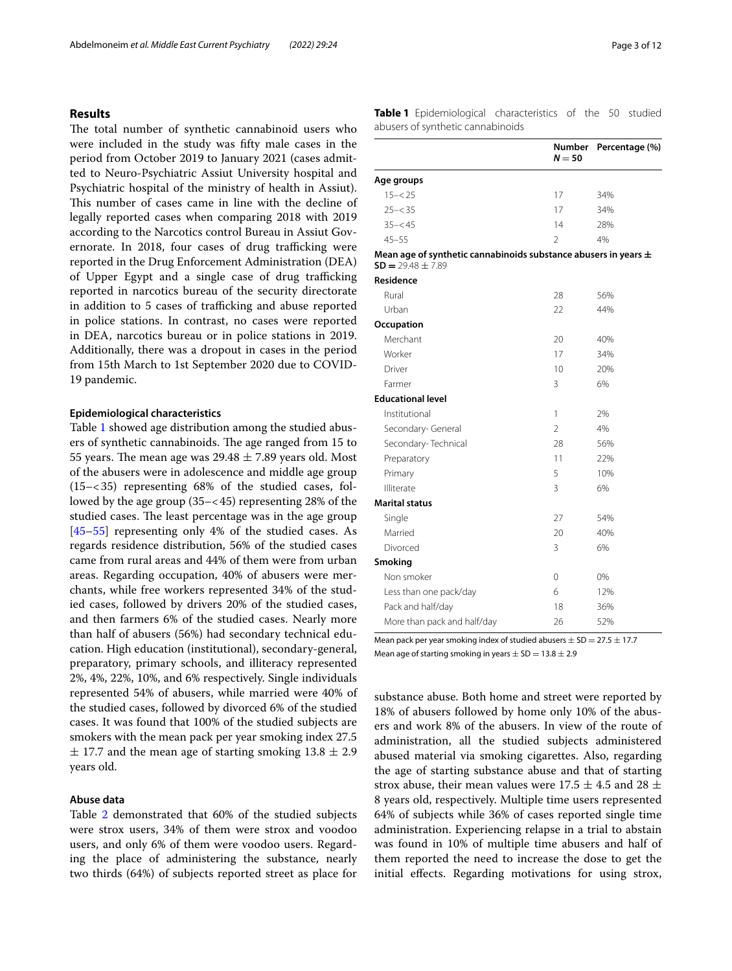## **Results**

The total number of synthetic cannabinoid users who were included in the study was ffty male cases in the period from October 2019 to January 2021 (cases admitted to Neuro-Psychiatric Assiut University hospital and Psychiatric hospital of the ministry of health in Assiut). This number of cases came in line with the decline of legally reported cases when comparing 2018 with 2019 according to the Narcotics control Bureau in Assiut Governorate. In 2018, four cases of drug trafficking were reported in the Drug Enforcement Administration (DEA) of Upper Egypt and a single case of drug trafficking reported in narcotics bureau of the security directorate in addition to 5 cases of trafficking and abuse reported in police stations. In contrast, no cases were reported in DEA, narcotics bureau or in police stations in 2019. Additionally, there was a dropout in cases in the period from 15th March to 1st September 2020 due to COVID-19 pandemic.

#### **Epidemiological characteristics**

Table [1](#page-2-0) showed age distribution among the studied abusers of synthetic cannabinoids. The age ranged from 15 to 55 years. The mean age was  $29.48 \pm 7.89$  years old. Most of the abusers were in adolescence and middle age group (15–<35) representing 68% of the studied cases, followed by the age group (35–<45) representing 28% of the studied cases. The least percentage was in the age group [[45–](#page-10-11)[55](#page-10-12)] representing only 4% of the studied cases. As regards residence distribution, 56% of the studied cases came from rural areas and 44% of them were from urban areas. Regarding occupation, 40% of abusers were merchants, while free workers represented 34% of the studied cases, followed by drivers 20% of the studied cases, and then farmers 6% of the studied cases. Nearly more than half of abusers (56%) had secondary technical education. High education (institutional), secondary-general, preparatory, primary schools, and illiteracy represented 2%, 4%, 22%, 10%, and 6% respectively. Single individuals represented 54% of abusers, while married were 40% of the studied cases, followed by divorced 6% of the studied cases. It was found that 100% of the studied subjects are smokers with the mean pack per year smoking index 27.5  $\pm$  17.7 and the mean age of starting smoking 13.8  $\pm$  2.9 years old.

#### **Abuse data**

Table [2](#page-3-0) demonstrated that 60% of the studied subjects were strox users, 34% of them were strox and voodoo users, and only 6% of them were voodoo users. Regarding the place of administering the substance, nearly two thirds (64%) of subjects reported street as place for <span id="page-2-0"></span>**Table 1** Epidemiological characteristics of the 50 studied abusers of synthetic cannabinoids

|                                                                                              | Number<br>$N = 50$ | Percentage (%) |
|----------------------------------------------------------------------------------------------|--------------------|----------------|
| Age groups                                                                                   |                    |                |
| $15 - < 25$                                                                                  | 17                 | 34%            |
| $25 - < 35$                                                                                  | 17                 | 34%            |
| $35 - 545$                                                                                   | 14                 | 28%            |
| $45 - 55$                                                                                    | $\mathfrak{D}$     | 4%             |
| Mean age of synthetic cannabinoids substance abusers in years $\pm$<br>$SD = 29.48 \pm 7.89$ |                    |                |
| Residence                                                                                    |                    |                |
| Rural                                                                                        | 28                 | 56%            |
| Urban                                                                                        | 22                 | 44%            |
| Occupation                                                                                   |                    |                |
| Merchant                                                                                     | 20                 | 40%            |
| Worker                                                                                       | 17                 | 34%            |
| Driver                                                                                       | 10                 | 20%            |
| Farmer                                                                                       | 3                  | 6%             |
| <b>Educational level</b>                                                                     |                    |                |
| Institutional                                                                                | 1                  | 2%             |
| Secondary- General                                                                           | $\mathfrak{D}$     | 4%             |
| Secondary-Technical                                                                          | 28                 | 56%            |
| Preparatory                                                                                  | 11                 | 22%            |
| Primary                                                                                      | 5                  | 10%            |
| Illiterate                                                                                   | 3                  | 6%             |
| <b>Marital status</b>                                                                        |                    |                |
| Single                                                                                       | 27                 | 54%            |
| Married                                                                                      | 20                 | 40%            |
| Divorced                                                                                     | 3                  | 6%             |
| Smoking                                                                                      |                    |                |
| Non smoker                                                                                   | 0                  | 0%             |
| Less than one pack/day                                                                       | 6                  | 12%            |
| Pack and half/day                                                                            | 18                 | 36%            |
| More than pack and half/day                                                                  | 26                 | 52%            |

Mean pack per year smoking index of studied abusers  $\pm$  SD = 27.5  $\pm$  17.7 Mean age of starting smoking in years  $\pm$  SD = 13.8  $\pm$  2.9

substance abuse. Both home and street were reported by 18% of abusers followed by home only 10% of the abusers and work 8% of the abusers. In view of the route of administration, all the studied subjects administered abused material via smoking cigarettes. Also, regarding the age of starting substance abuse and that of starting strox abuse, their mean values were 17.5  $\pm$  4.5 and 28  $\pm$ 8 years old, respectively. Multiple time users represented 64% of subjects while 36% of cases reported single time administration. Experiencing relapse in a trial to abstain was found in 10% of multiple time abusers and half of them reported the need to increase the dose to get the initial efects. Regarding motivations for using strox,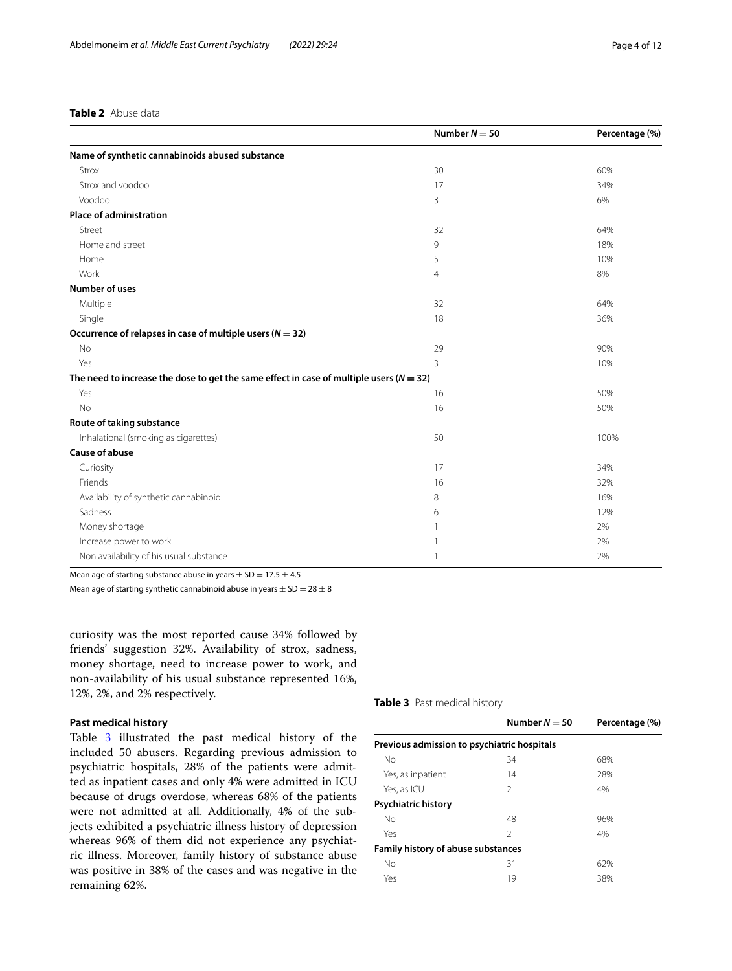#### <span id="page-3-0"></span>**Table 2** Abuse data

|                                                                                             | Number $N = 50$ | Percentage (%) |
|---------------------------------------------------------------------------------------------|-----------------|----------------|
| Name of synthetic cannabinoids abused substance                                             |                 |                |
| Strox                                                                                       | 30              | 60%            |
| Strox and voodoo                                                                            | 17              | 34%            |
| Voodoo                                                                                      | 3               | 6%             |
| <b>Place of administration</b>                                                              |                 |                |
| Street                                                                                      | 32              | 64%            |
| Home and street                                                                             | 9               | 18%            |
| Home                                                                                        | 5               | 10%            |
| Work                                                                                        | $\overline{4}$  | 8%             |
| <b>Number of uses</b>                                                                       |                 |                |
| Multiple                                                                                    | 32              | 64%            |
| Single                                                                                      | 18              | 36%            |
| Occurrence of relapses in case of multiple users ( $N = 32$ )                               |                 |                |
| <b>No</b>                                                                                   | 29              | 90%            |
| Yes                                                                                         | 3               | 10%            |
| The need to increase the dose to get the same effect in case of multiple users ( $N = 32$ ) |                 |                |
| Yes                                                                                         | 16              | 50%            |
| <b>No</b>                                                                                   | 16              | 50%            |
| Route of taking substance                                                                   |                 |                |
| Inhalational (smoking as cigarettes)                                                        | 50              | 100%           |
| <b>Cause of abuse</b>                                                                       |                 |                |
| Curiosity                                                                                   | 17              | 34%            |
| Friends                                                                                     | 16              | 32%            |
| Availability of synthetic cannabinoid                                                       | 8               | 16%            |
| Sadness                                                                                     | 6               | 12%            |
| Money shortage                                                                              |                 | 2%             |
| Increase power to work                                                                      | -1              | 2%             |
| Non availability of his usual substance                                                     | $\mathbf{1}$    | 2%             |

Mean age of starting substance abuse in years  $\pm$  SD = 17.5  $\pm$  4.5

Mean age of starting synthetic cannabinoid abuse in years  $\pm$  SD = 28  $\pm$  8

curiosity was the most reported cause 34% followed by friends' suggestion 32%. Availability of strox, sadness, money shortage, need to increase power to work, and non-availability of his usual substance represented 16%, 12%, 2%, and 2% respectively.

#### **Past medical history**

Table [3](#page-3-1) illustrated the past medical history of the included 50 abusers. Regarding previous admission to psychiatric hospitals, 28% of the patients were admitted as inpatient cases and only 4% were admitted in ICU because of drugs overdose, whereas 68% of the patients were not admitted at all. Additionally, 4% of the subjects exhibited a psychiatric illness history of depression whereas 96% of them did not experience any psychiatric illness. Moreover, family history of substance abuse was positive in 38% of the cases and was negative in the remaining 62%.

#### <span id="page-3-1"></span>**Table 3** Past medical history

|                                             | Number $N = 50$ | Percentage (%) |  |  |  |
|---------------------------------------------|-----------------|----------------|--|--|--|
| Previous admission to psychiatric hospitals |                 |                |  |  |  |
| No                                          | 34              | 68%            |  |  |  |
| Yes, as inpatient                           | 14              | 28%            |  |  |  |
| Yes, as ICU                                 | 2               | 4%             |  |  |  |
| <b>Psychiatric history</b>                  |                 |                |  |  |  |
| No                                          | 48              | 96%            |  |  |  |
| Yes                                         | 2               | 4%             |  |  |  |
| <b>Family history of abuse substances</b>   |                 |                |  |  |  |
| No                                          | 31              | 62%            |  |  |  |
| Yes                                         | 19              | 38%            |  |  |  |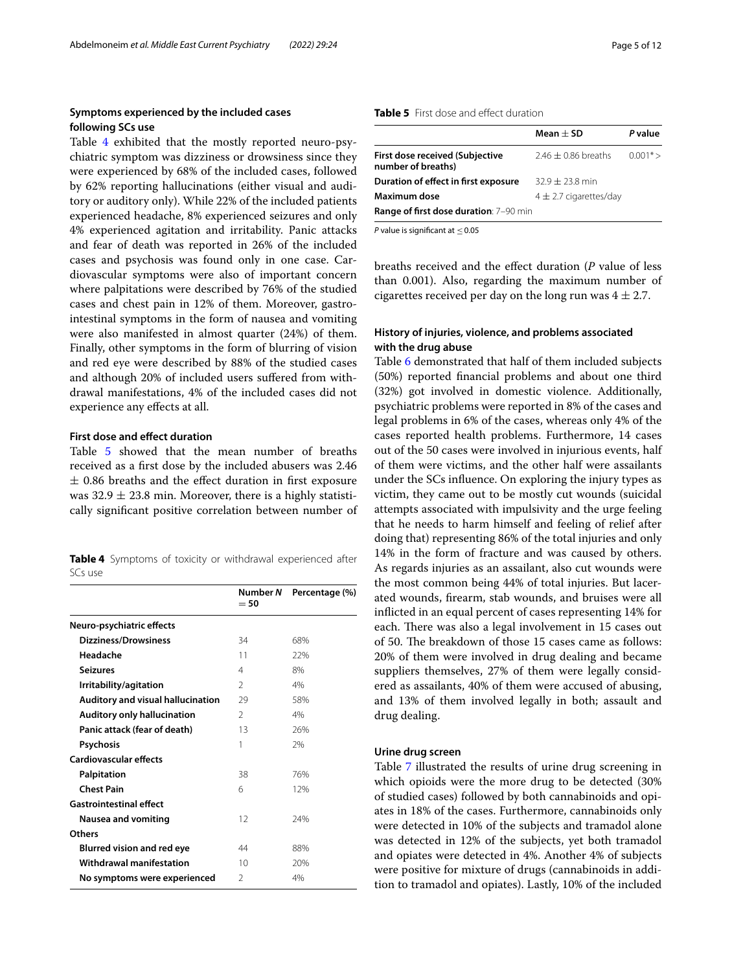## **Symptoms experienced by the included cases following SCs use**

Table [4](#page-4-0) exhibited that the mostly reported neuro-psychiatric symptom was dizziness or drowsiness since they were experienced by 68% of the included cases, followed by 62% reporting hallucinations (either visual and auditory or auditory only). While 22% of the included patients experienced headache, 8% experienced seizures and only 4% experienced agitation and irritability. Panic attacks and fear of death was reported in 26% of the included cases and psychosis was found only in one case. Cardiovascular symptoms were also of important concern where palpitations were described by 76% of the studied cases and chest pain in 12% of them. Moreover, gastrointestinal symptoms in the form of nausea and vomiting were also manifested in almost quarter (24%) of them. Finally, other symptoms in the form of blurring of vision and red eye were described by 88% of the studied cases and although 20% of included users sufered from withdrawal manifestations, 4% of the included cases did not experience any efects at all.

## **First dose and efect duration**

Table [5](#page-4-1) showed that the mean number of breaths received as a frst dose by the included abusers was 2.46  $±$  0.86 breaths and the effect duration in first exposure was  $32.9 \pm 23.8$  min. Moreover, there is a highly statistically signifcant positive correlation between number of

<span id="page-4-0"></span>

|         |  |  | Table 4 Symptoms of toxicity or withdrawal experienced after |  |
|---------|--|--|--------------------------------------------------------------|--|
| SCs use |  |  |                                                              |  |

|                                    | Number N<br>$= 50$ | Percentage (%) |
|------------------------------------|--------------------|----------------|
| Neuro-psychiatric effects          |                    |                |
| Dizziness/Drowsiness               | 34                 | 68%            |
| Headache                           | 11                 | 22%            |
| <b>Seizures</b>                    | 4                  | 8%             |
| Irritability/agitation             | $\mathcal{P}$      | 4%             |
| Auditory and visual hallucination  | 29                 | 58%            |
| <b>Auditory only hallucination</b> | $\mathfrak{D}$     | 4%             |
| Panic attack (fear of death)       | 13                 | 26%            |
| <b>Psychosis</b>                   | 1                  | 7%             |
| <b>Cardiovascular effects</b>      |                    |                |
| Palpitation                        | 38                 | 76%            |
| <b>Chest Pain</b>                  | 6                  | 12%            |
| <b>Gastrointestinal effect</b>     |                    |                |
| <b>Nausea and vomiting</b>         | 12                 | 24%            |
| Others                             |                    |                |
| <b>Blurred vision and red eye</b>  | 44                 | 88%            |
| Withdrawal manifestation           | 10                 | 20%            |
| No symptoms were experienced       | $\mathcal{P}$      | 4%             |

#### <span id="page-4-1"></span>**Table 5** First dose and effect duration

|                                                              | Mean $\pm$ SD           | P value    |
|--------------------------------------------------------------|-------------------------|------------|
| <b>First dose received (Subjective</b><br>number of breaths) | $2.46 \pm 0.86$ breaths | $0.001* >$ |
| Duration of effect in first exposure                         | $32.9 + 23.8$ min       |            |
| Maximum dose<br>$4 \pm 2.7$ cigarettes/day                   |                         |            |
| <b>Range of first dose duration: 7-90 min</b>                |                         |            |

*P* value is signifcant at ≤0.05

breaths received and the efect duration (*P* value of less than 0.001). Also, regarding the maximum number of cigarettes received per day on the long run was  $4 \pm 2.7$ .

# **History of injuries, violence, and problems associated with the drug abuse**

Table [6](#page-5-0) demonstrated that half of them included subjects (50%) reported fnancial problems and about one third (32%) got involved in domestic violence. Additionally, psychiatric problems were reported in 8% of the cases and legal problems in 6% of the cases, whereas only 4% of the cases reported health problems. Furthermore, 14 cases out of the 50 cases were involved in injurious events, half of them were victims, and the other half were assailants under the SCs infuence. On exploring the injury types as victim, they came out to be mostly cut wounds (suicidal attempts associated with impulsivity and the urge feeling that he needs to harm himself and feeling of relief after doing that) representing 86% of the total injuries and only 14% in the form of fracture and was caused by others. As regards injuries as an assailant, also cut wounds were the most common being 44% of total injuries. But lacerated wounds, frearm, stab wounds, and bruises were all inficted in an equal percent of cases representing 14% for each. There was also a legal involvement in 15 cases out of 50. The breakdown of those 15 cases came as follows: 20% of them were involved in drug dealing and became suppliers themselves, 27% of them were legally considered as assailants, 40% of them were accused of abusing, and 13% of them involved legally in both; assault and drug dealing.

#### **Urine drug screen**

Table [7](#page-5-1) illustrated the results of urine drug screening in which opioids were the more drug to be detected (30% of studied cases) followed by both cannabinoids and opiates in 18% of the cases. Furthermore, cannabinoids only were detected in 10% of the subjects and tramadol alone was detected in 12% of the subjects, yet both tramadol and opiates were detected in 4%. Another 4% of subjects were positive for mixture of drugs (cannabinoids in addition to tramadol and opiates). Lastly, 10% of the included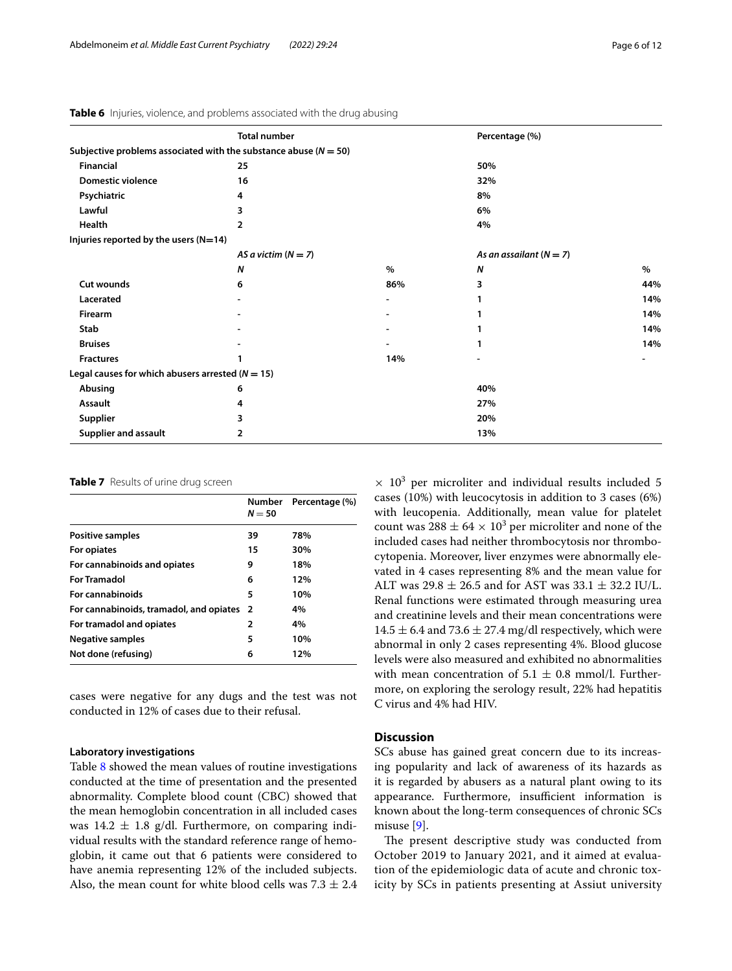|                                                                      | <b>Total number</b>   |                          | Percentage (%)            |      |
|----------------------------------------------------------------------|-----------------------|--------------------------|---------------------------|------|
| Subjective problems associated with the substance abuse ( $N = 50$ ) |                       |                          |                           |      |
| <b>Financial</b>                                                     | 25                    |                          | 50%                       |      |
| <b>Domestic violence</b>                                             | 16                    |                          | 32%                       |      |
| Psychiatric                                                          | 4                     |                          | 8%                        |      |
| Lawful                                                               | 3                     |                          | 6%                        |      |
| <b>Health</b>                                                        | 2                     |                          | 4%                        |      |
| Injuries reported by the users (N=14)                                |                       |                          |                           |      |
|                                                                      | AS a victim $(N = 7)$ |                          | As an assailant $(N = 7)$ |      |
|                                                                      | N                     | $\%$                     | $\boldsymbol{N}$          | $\%$ |
| Cut wounds                                                           | 6                     | 86%                      | 3                         | 44%  |
| Lacerated                                                            |                       | $\overline{\phantom{a}}$ |                           | 14%  |
| <b>Firearm</b>                                                       |                       |                          |                           | 14%  |
| Stab                                                                 |                       |                          |                           | 14%  |
| <b>Bruises</b>                                                       |                       |                          |                           | 14%  |
| <b>Fractures</b>                                                     |                       | 14%                      |                           |      |
| Legal causes for which abusers arrested ( $N = 15$ )                 |                       |                          |                           |      |
| Abusing                                                              | 6                     |                          | 40%                       |      |
| Assault                                                              | 4                     |                          | 27%                       |      |
| <b>Supplier</b>                                                      | 3                     |                          | 20%                       |      |
| Supplier and assault                                                 | $\overline{2}$        |                          | 13%                       |      |

<span id="page-5-0"></span>**Table 6** Injuries, violence, and problems associated with the drug abusing

#### <span id="page-5-1"></span>**Table 7** Results of urine drug screen

|                                           | <b>Number</b><br>$N = 50$ | Percentage (%) |
|-------------------------------------------|---------------------------|----------------|
| Positive samples                          | 39                        | 78%            |
| For opiates                               | 15                        | 30%            |
| For cannabinoids and opiates              | 9                         | 18%            |
| <b>For Tramadol</b>                       | 6                         | 12%            |
| For cannabinoids                          | 5                         | 10%            |
| For cannabinoids, tramadol, and opiates 2 |                           | 4%             |
| For tramadol and opiates                  | 2                         | 4%             |
| <b>Negative samples</b>                   | 5                         | 10%            |
| Not done (refusing)                       | 6                         | 12%            |

cases were negative for any dugs and the test was not conducted in 12% of cases due to their refusal.

#### **Laboratory investigations**

Table [8](#page-6-0) showed the mean values of routine investigations conducted at the time of presentation and the presented abnormality. Complete blood count (CBC) showed that the mean hemoglobin concentration in all included cases was  $14.2 \pm 1.8$  g/dl. Furthermore, on comparing individual results with the standard reference range of hemoglobin, it came out that 6 patients were considered to have anemia representing 12% of the included subjects. Also, the mean count for white blood cells was  $7.3 \pm 2.4$ 

 $\times$  10<sup>3</sup> per microliter and individual results included 5 cases (10%) with leucocytosis in addition to 3 cases (6%) with leucopenia. Additionally, mean value for platelet count was  $288 \pm 64 \times 10^3$  per microliter and none of the included cases had neither thrombocytosis nor thrombocytopenia. Moreover, liver enzymes were abnormally elevated in 4 cases representing 8% and the mean value for ALT was 29.8  $\pm$  26.5 and for AST was 33.1  $\pm$  32.2 IU/L. Renal functions were estimated through measuring urea and creatinine levels and their mean concentrations were  $14.5 \pm 6.4$  and  $73.6 \pm 27.4$  mg/dl respectively, which were abnormal in only 2 cases representing 4%. Blood glucose levels were also measured and exhibited no abnormalities with mean concentration of  $5.1 \pm 0.8$  mmol/l. Furthermore, on exploring the serology result, 22% had hepatitis C virus and 4% had HIV.

#### **Discussion**

SCs abuse has gained great concern due to its increasing popularity and lack of awareness of its hazards as it is regarded by abusers as a natural plant owing to its appearance. Furthermore, insufficient information is known about the long-term consequences of chronic SCs misuse [[9\]](#page-10-13).

The present descriptive study was conducted from October 2019 to January 2021, and it aimed at evaluation of the epidemiologic data of acute and chronic toxicity by SCs in patients presenting at Assiut university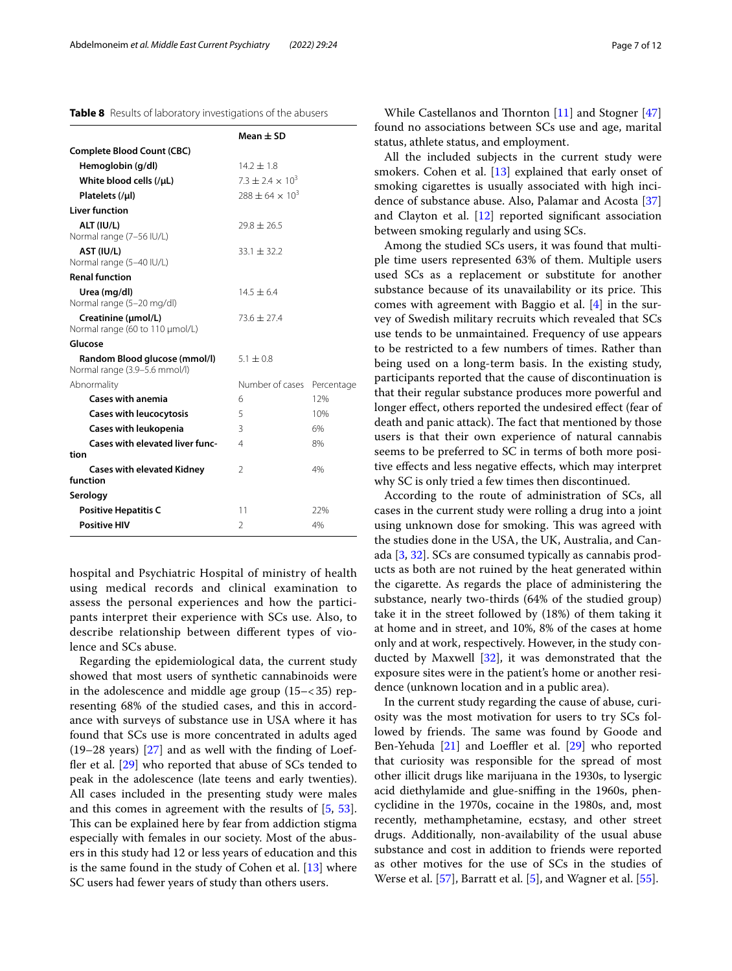<span id="page-6-0"></span>

|                                                                | $Mean + SD$            |            |
|----------------------------------------------------------------|------------------------|------------|
| <b>Complete Blood Count (CBC)</b>                              |                        |            |
| Hemoglobin (g/dl)                                              | $14.2 \pm 1.8$         |            |
| White blood cells (/µL)                                        | $73 + 24 \times 10^3$  |            |
| Platelets (/µl)                                                | $788 + 64 \times 10^3$ |            |
| <b>Liver function</b>                                          |                        |            |
| ALT (IU/L)<br>Normal range (7-56 IU/L)                         | $29.8 + 26.5$          |            |
| AST (IU/L)<br>Normal range (5-40 IU/L)                         | $33.1 + 32.2$          |            |
| <b>Renal function</b>                                          |                        |            |
| Urea (mg/dl)<br>Normal range (5-20 mg/dl)                      | $14.5 + 6.4$           |            |
| Creatinine (µmol/L)<br>Normal range (60 to 110 µmol/L)         | $73.6 + 27.4$          |            |
| Glucose                                                        |                        |            |
| Random Blood glucose (mmol/l)<br>Normal range (3.9-5.6 mmol/l) | $51 + 08$              |            |
| Abnormality                                                    | Number of cases        | Percentage |
| <b>Cases with anemia</b>                                       | 6                      | 12%        |
| <b>Cases with leucocytosis</b>                                 | 5                      | 10%        |
| <b>Cases with leukopenia</b>                                   | 3                      | 6%         |
| <b>Cases with elevated liver func-</b><br>tion                 | 4                      | 8%         |
| <b>Cases with elevated Kidney</b><br>function                  | $\mathfrak{D}$         | 4%         |
| Serology                                                       |                        |            |
| <b>Positive Hepatitis C</b>                                    | 11                     | 22%        |
| <b>Positive HIV</b>                                            | $\mathfrak{D}$         | 4%         |

hospital and Psychiatric Hospital of ministry of health using medical records and clinical examination to assess the personal experiences and how the participants interpret their experience with SCs use. Also, to describe relationship between diferent types of violence and SCs abuse.

Regarding the epidemiological data, the current study showed that most users of synthetic cannabinoids were in the adolescence and middle age group  $(15 - < 35)$  representing 68% of the studied cases, and this in accordance with surveys of substance use in USA where it has found that SCs use is more concentrated in adults aged (19–28 years) [[27\]](#page-10-14) and as well with the fnding of Loef-fler et al. [[29\]](#page-10-15) who reported that abuse of SCs tended to peak in the adolescence (late teens and early twenties). All cases included in the presenting study were males and this comes in agreement with the results of [[5,](#page-9-2) [53](#page-10-16)]. This can be explained here by fear from addiction stigma especially with females in our society. Most of the abusers in this study had 12 or less years of education and this is the same found in the study of Cohen et al. [[13\]](#page-10-17) where SC users had fewer years of study than others users.

All the included subjects in the current study were smokers. Cohen et al. [[13](#page-10-17)] explained that early onset of smoking cigarettes is usually associated with high incidence of substance abuse. Also, Palamar and Acosta [[37](#page-10-20)] and Clayton et al. [\[12](#page-10-21)] reported signifcant association between smoking regularly and using SCs.

Among the studied SCs users, it was found that multiple time users represented 63% of them. Multiple users used SCs as a replacement or substitute for another substance because of its unavailability or its price. This comes with agreement with Baggio et al. [[4\]](#page-9-3) in the survey of Swedish military recruits which revealed that SCs use tends to be unmaintained. Frequency of use appears to be restricted to a few numbers of times. Rather than being used on a long-term basis. In the existing study, participants reported that the cause of discontinuation is that their regular substance produces more powerful and longer efect, others reported the undesired efect (fear of death and panic attack). The fact that mentioned by those users is that their own experience of natural cannabis seems to be preferred to SC in terms of both more positive efects and less negative efects, which may interpret why SC is only tried a few times then discontinued.

According to the route of administration of SCs, all cases in the current study were rolling a drug into a joint using unknown dose for smoking. This was agreed with the studies done in the USA, the UK, Australia, and Canada [[3,](#page-9-4) [32](#page-10-22)]. SCs are consumed typically as cannabis products as both are not ruined by the heat generated within the cigarette. As regards the place of administering the substance, nearly two-thirds (64% of the studied group) take it in the street followed by (18%) of them taking it at home and in street, and 10%, 8% of the cases at home only and at work, respectively. However, in the study conducted by Maxwell [[32\]](#page-10-22), it was demonstrated that the exposure sites were in the patient's home or another residence (unknown location and in a public area).

In the current study regarding the cause of abuse, curiosity was the most motivation for users to try SCs followed by friends. The same was found by Goode and Ben-Yehuda  $[21]$  $[21]$  and Loeffler et al.  $[29]$  $[29]$  $[29]$  who reported that curiosity was responsible for the spread of most other illicit drugs like marijuana in the 1930s, to lysergic acid diethylamide and glue-snifng in the 1960s, phencyclidine in the 1970s, cocaine in the 1980s, and, most recently, methamphetamine, ecstasy, and other street drugs. Additionally, non-availability of the usual abuse substance and cost in addition to friends were reported as other motives for the use of SCs in the studies of Werse et al.  $[57]$  $[57]$  $[57]$ , Barratt et al.  $[5]$  $[5]$ , and Wagner et al.  $[55]$  $[55]$ .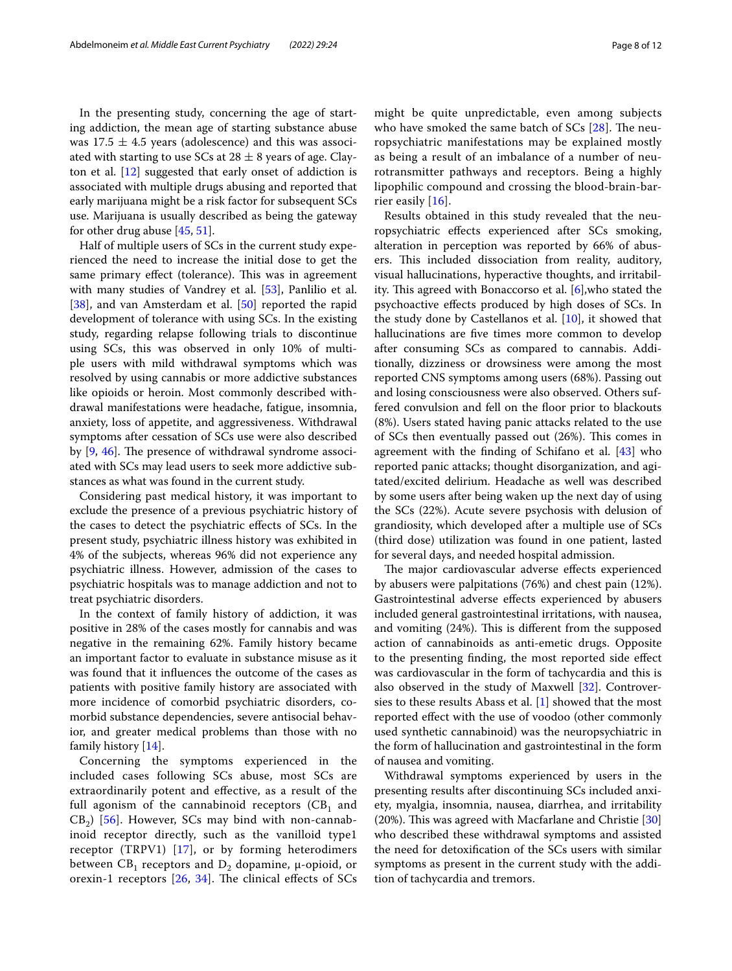was  $17.5 \pm 4.5$  years (adolescence) and this was associated with starting to use SCs at  $28 \pm 8$  years of age. Clayton et al. [\[12](#page-10-21)] suggested that early onset of addiction is associated with multiple drugs abusing and reported that early marijuana might be a risk factor for subsequent SCs use. Marijuana is usually described as being the gateway for other drug abuse [\[45](#page-10-11), [51](#page-10-24)].

Half of multiple users of SCs in the current study experienced the need to increase the initial dose to get the same primary effect (tolerance). This was in agreement with many studies of Vandrey et al. [[53\]](#page-10-16), Panlilio et al. [[38\]](#page-10-25), and van Amsterdam et al. [\[50\]](#page-10-26) reported the rapid development of tolerance with using SCs. In the existing study, regarding relapse following trials to discontinue using SCs, this was observed in only 10% of multiple users with mild withdrawal symptoms which was resolved by using cannabis or more addictive substances like opioids or heroin. Most commonly described withdrawal manifestations were headache, fatigue, insomnia, anxiety, loss of appetite, and aggressiveness. Withdrawal symptoms after cessation of SCs use were also described by  $[9, 46]$  $[9, 46]$  $[9, 46]$  $[9, 46]$ . The presence of withdrawal syndrome associated with SCs may lead users to seek more addictive substances as what was found in the current study.

Considering past medical history, it was important to exclude the presence of a previous psychiatric history of the cases to detect the psychiatric efects of SCs. In the present study, psychiatric illness history was exhibited in 4% of the subjects, whereas 96% did not experience any psychiatric illness. However, admission of the cases to psychiatric hospitals was to manage addiction and not to treat psychiatric disorders.

In the context of family history of addiction, it was positive in 28% of the cases mostly for cannabis and was negative in the remaining 62%. Family history became an important factor to evaluate in substance misuse as it was found that it infuences the outcome of the cases as patients with positive family history are associated with more incidence of comorbid psychiatric disorders, comorbid substance dependencies, severe antisocial behavior, and greater medical problems than those with no family history [[14](#page-10-28)].

Concerning the symptoms experienced in the included cases following SCs abuse, most SCs are extraordinarily potent and efective, as a result of the full agonism of the cannabinoid receptors  $(CB<sub>1</sub>$  and  $CB<sub>2</sub>$ ) [\[56](#page-11-1)]. However, SCs may bind with non-cannabinoid receptor directly, such as the vanilloid type1 receptor (TRPV1) [[17](#page-10-29)], or by forming heterodimers between  $CB_1$  receptors and  $D_2$  dopamine, μ-opioid, or orexin-1 receptors  $[26, 34]$  $[26, 34]$  $[26, 34]$  $[26, 34]$ . The clinical effects of SCs might be quite unpredictable, even among subjects who have smoked the same batch of  $SCs$  [\[28](#page-10-32)]. The neuropsychiatric manifestations may be explained mostly as being a result of an imbalance of a number of neurotransmitter pathways and receptors. Being a highly lipophilic compound and crossing the blood-brain-barrier easily [[16\]](#page-10-33).

Results obtained in this study revealed that the neuropsychiatric efects experienced after SCs smoking, alteration in perception was reported by 66% of abusers. This included dissociation from reality, auditory, visual hallucinations, hyperactive thoughts, and irritability. This agreed with Bonaccorso et al.  $[6]$  $[6]$  $[6]$ , who stated the psychoactive efects produced by high doses of SCs. In the study done by Castellanos et al. [\[10](#page-10-34)], it showed that hallucinations are fve times more common to develop after consuming SCs as compared to cannabis. Additionally, dizziness or drowsiness were among the most reported CNS symptoms among users (68%). Passing out and losing consciousness were also observed. Others suffered convulsion and fell on the foor prior to blackouts (8%). Users stated having panic attacks related to the use of SCs then eventually passed out  $(26%)$ . This comes in agreement with the fnding of Schifano et al. [\[43\]](#page-10-35) who reported panic attacks; thought disorganization, and agitated/excited delirium. Headache as well was described by some users after being waken up the next day of using the SCs (22%). Acute severe psychosis with delusion of grandiosity, which developed after a multiple use of SCs (third dose) utilization was found in one patient, lasted for several days, and needed hospital admission.

The major cardiovascular adverse effects experienced by abusers were palpitations (76%) and chest pain (12%). Gastrointestinal adverse efects experienced by abusers included general gastrointestinal irritations, with nausea, and vomiting (24%). This is different from the supposed action of cannabinoids as anti-emetic drugs. Opposite to the presenting fnding, the most reported side efect was cardiovascular in the form of tachycardia and this is also observed in the study of Maxwell [\[32\]](#page-10-22). Controversies to these results Abass et al. [\[1](#page-9-6)] showed that the most reported efect with the use of voodoo (other commonly used synthetic cannabinoid) was the neuropsychiatric in the form of hallucination and gastrointestinal in the form of nausea and vomiting.

Withdrawal symptoms experienced by users in the presenting results after discontinuing SCs included anxiety, myalgia, insomnia, nausea, diarrhea, and irritability (20%). This was agreed with Macfarlane and Christie  $[30]$  $[30]$  $[30]$ who described these withdrawal symptoms and assisted the need for detoxifcation of the SCs users with similar symptoms as present in the current study with the addition of tachycardia and tremors.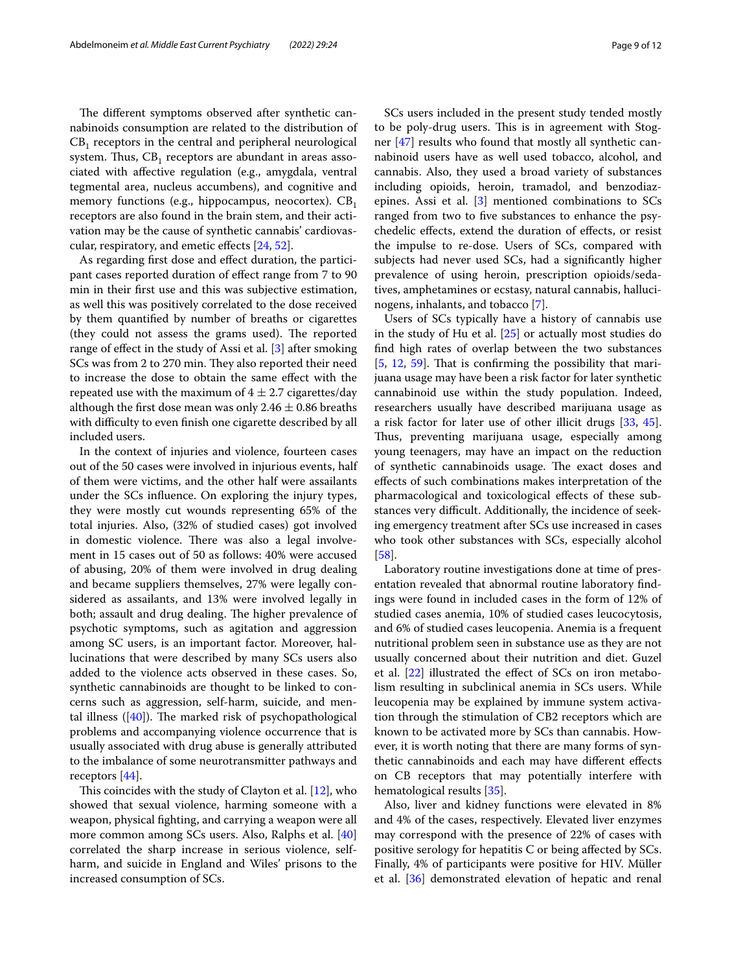The different symptoms observed after synthetic cannabinoids consumption are related to the distribution of  $CB<sub>1</sub>$  receptors in the central and peripheral neurological system. Thus,  $CB_1$  receptors are abundant in areas associated with afective regulation (e.g., amygdala, ventral tegmental area, nucleus accumbens), and cognitive and memory functions (e.g., hippocampus, neocortex).  $CB_1$ receptors are also found in the brain stem, and their activation may be the cause of synthetic cannabis' cardiovascular, respiratory, and emetic efects [\[24](#page-10-37), [52\]](#page-10-38).

As regarding frst dose and efect duration, the participant cases reported duration of efect range from 7 to 90 min in their frst use and this was subjective estimation, as well this was positively correlated to the dose received by them quantifed by number of breaths or cigarettes (they could not assess the grams used). The reported range of efect in the study of Assi et al. [[3\]](#page-9-4) after smoking SCs was from 2 to 270 min. They also reported their need to increase the dose to obtain the same efect with the repeated use with the maximum of  $4 \pm 2.7$  cigarettes/day although the first dose mean was only 2.46  $\pm$  0.86 breaths with difficulty to even finish one cigarette described by all included users.

In the context of injuries and violence, fourteen cases out of the 50 cases were involved in injurious events, half of them were victims, and the other half were assailants under the SCs infuence. On exploring the injury types, they were mostly cut wounds representing 65% of the total injuries. Also, (32% of studied cases) got involved in domestic violence. There was also a legal involvement in 15 cases out of 50 as follows: 40% were accused of abusing, 20% of them were involved in drug dealing and became suppliers themselves, 27% were legally considered as assailants, and 13% were involved legally in both; assault and drug dealing. The higher prevalence of psychotic symptoms, such as agitation and aggression among SC users, is an important factor. Moreover, hallucinations that were described by many SCs users also added to the violence acts observed in these cases. So, synthetic cannabinoids are thought to be linked to concerns such as aggression, self-harm, suicide, and mental illness  $([40])$  $([40])$  $([40])$ . The marked risk of psychopathological problems and accompanying violence occurrence that is usually associated with drug abuse is generally attributed to the imbalance of some neurotransmitter pathways and receptors [[44](#page-10-40)].

This coincides with the study of Clayton et al.  $[12]$  $[12]$ , who showed that sexual violence, harming someone with a weapon, physical fghting, and carrying a weapon were all more common among SCs users. Also, Ralphs et al. [[40](#page-10-39)] correlated the sharp increase in serious violence, selfharm, and suicide in England and Wiles' prisons to the increased consumption of SCs.

SCs users included in the present study tended mostly to be poly-drug users. This is in agreement with Stogner [[47](#page-10-19)] results who found that mostly all synthetic cannabinoid users have as well used tobacco, alcohol, and cannabis. Also, they used a broad variety of substances including opioids, heroin, tramadol, and benzodiazepines. Assi et al. [[3\]](#page-9-4) mentioned combinations to SCs ranged from two to fve substances to enhance the psychedelic efects, extend the duration of efects, or resist the impulse to re-dose. Users of SCs, compared with subjects had never used SCs, had a signifcantly higher prevalence of using heroin, prescription opioids/sedatives, amphetamines or ecstasy, natural cannabis, hallucinogens, inhalants, and tobacco [[7\]](#page-9-7).

Users of SCs typically have a history of cannabis use in the study of Hu et al. [\[25](#page-10-41)] or actually most studies do fnd high rates of overlap between the two substances  $[5, 12, 59]$  $[5, 12, 59]$  $[5, 12, 59]$  $[5, 12, 59]$  $[5, 12, 59]$  $[5, 12, 59]$  $[5, 12, 59]$ . That is confirming the possibility that marijuana usage may have been a risk factor for later synthetic cannabinoid use within the study population. Indeed, researchers usually have described marijuana usage as a risk factor for later use of other illicit drugs [\[33](#page-10-42), [45](#page-10-11)]. Thus, preventing marijuana usage, especially among young teenagers, may have an impact on the reduction of synthetic cannabinoids usage. The exact doses and efects of such combinations makes interpretation of the pharmacological and toxicological efects of these substances very difficult. Additionally, the incidence of seeking emergency treatment after SCs use increased in cases who took other substances with SCs, especially alcohol [[58\]](#page-11-3).

Laboratory routine investigations done at time of presentation revealed that abnormal routine laboratory fndings were found in included cases in the form of 12% of studied cases anemia, 10% of studied cases leucocytosis, and 6% of studied cases leucopenia. Anemia is a frequent nutritional problem seen in substance use as they are not usually concerned about their nutrition and diet. Guzel et al. [[22](#page-10-43)] illustrated the efect of SCs on iron metabolism resulting in subclinical anemia in SCs users. While leucopenia may be explained by immune system activation through the stimulation of CB2 receptors which are known to be activated more by SCs than cannabis. However, it is worth noting that there are many forms of synthetic cannabinoids and each may have diferent efects on CB receptors that may potentially interfere with hematological results [\[35\]](#page-10-44).

Also, liver and kidney functions were elevated in 8% and 4% of the cases, respectively. Elevated liver enzymes may correspond with the presence of 22% of cases with positive serology for hepatitis C or being afected by SCs. Finally, 4% of participants were positive for HIV. Müller et al. [\[36\]](#page-10-45) demonstrated elevation of hepatic and renal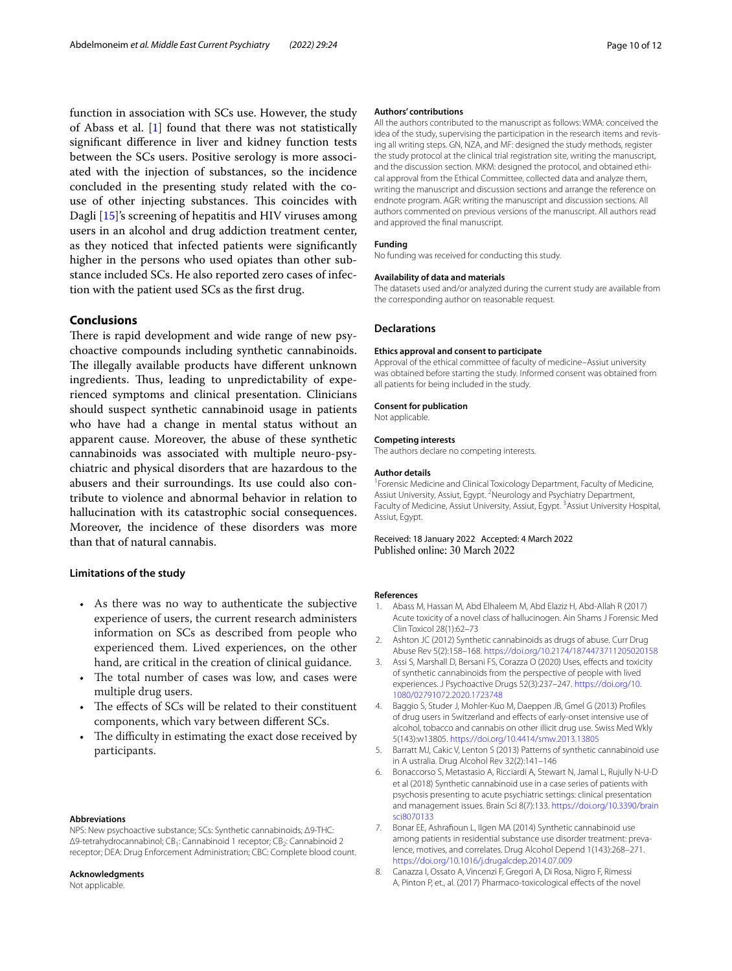function in association with SCs use. However, the study of Abass et al. [[1\]](#page-9-6) found that there was not statistically signifcant diference in liver and kidney function tests between the SCs users. Positive serology is more associated with the injection of substances, so the incidence concluded in the presenting study related with the couse of other injecting substances. This coincides with Dagli [[15\]](#page-10-46)'s screening of hepatitis and HIV viruses among users in an alcohol and drug addiction treatment center, as they noticed that infected patients were signifcantly higher in the persons who used opiates than other substance included SCs. He also reported zero cases of infection with the patient used SCs as the frst drug.

# **Conclusions**

There is rapid development and wide range of new psychoactive compounds including synthetic cannabinoids. The illegally available products have different unknown ingredients. Thus, leading to unpredictability of experienced symptoms and clinical presentation. Clinicians should suspect synthetic cannabinoid usage in patients who have had a change in mental status without an apparent cause. Moreover, the abuse of these synthetic cannabinoids was associated with multiple neuro-psychiatric and physical disorders that are hazardous to the abusers and their surroundings. Its use could also contribute to violence and abnormal behavior in relation to hallucination with its catastrophic social consequences. Moreover, the incidence of these disorders was more than that of natural cannabis.

#### **Limitations of the study**

- As there was no way to authenticate the subjective experience of users, the current research administers information on SCs as described from people who experienced them. Lived experiences, on the other hand, are critical in the creation of clinical guidance.
- The total number of cases was low, and cases were multiple drug users.
- The effects of SCs will be related to their constituent components, which vary between diferent SCs.
- The difficulty in estimating the exact dose received by participants.

#### **Abbreviations**

NPS: New psychoactive substance; SCs: Synthetic cannabinoids; Δ9-THC: Δ9-tetrahydrocannabinol; CB<sub>1</sub>: Cannabinoid 1 receptor; CB<sub>2</sub>: Cannabinoid 2 receptor; DEA: Drug Enforcement Administration; CBC: Complete blood count.

#### **Acknowledgments**

Not applicable.

#### **Authors' contributions**

All the authors contributed to the manuscript as follows: WMA: conceived the idea of the study, supervising the participation in the research items and revising all writing steps. GN, NZA, and MF: designed the study methods, register the study protocol at the clinical trial registration site, writing the manuscript, and the discussion section. MKM: designed the protocol, and obtained ethical approval from the Ethical Committee, collected data and analyze them, writing the manuscript and discussion sections and arrange the reference on endnote program. AGR: writing the manuscript and discussion sections. All authors commented on previous versions of the manuscript. All authors read and approved the fnal manuscript.

#### No funding was received for conducting this study.

**Funding**

#### **Availability of data and materials**

The datasets used and/or analyzed during the current study are available from the corresponding author on reasonable request.

#### **Declarations**

#### **Ethics approval and consent to participate**

Approval of the ethical committee of faculty of medicine–Assiut university was obtained before starting the study. Informed consent was obtained from all patients for being included in the study.

#### **Consent for publication**

Not applicable.

#### **Competing interests**

The authors declare no competing interests.

#### **Author details**

<sup>1</sup> Forensic Medicine and Clinical Toxicology Department, Faculty of Medicine, Assiut University, Assiut, Egypt. <sup>2</sup> Neurology and Psychiatry Department, Faculty of Medicine, Assiut University, Assiut, Egypt. <sup>3</sup> Assiut University Hospital, Assiut, Egypt.

Received: 18 January 2022 Accepted: 4 March 2022

#### **References**

- <span id="page-9-6"></span>1. Abass M, Hassan M, Abd Elhaleem M, Abd Elaziz H, Abd-Allah R (2017) Acute toxicity of a novel class of hallucinogen. Ain Shams J Forensic Med Clin Toxicol 28(1):62–73
- <span id="page-9-1"></span>2. Ashton JC (2012) Synthetic cannabinoids as drugs of abuse. Curr Drug Abuse Rev 5(2):158–168.<https://doi.org/10.2174/1874473711205020158>
- <span id="page-9-4"></span>3. Assi S, Marshall D, Bersani FS, Corazza O (2020) Uses, efects and toxicity of synthetic cannabinoids from the perspective of people with lived experiences. J Psychoactive Drugs 52(3):237–247. [https://doi.org/10.](https://doi.org/10.1080/02791072.2020.1723748) [1080/02791072.2020.1723748](https://doi.org/10.1080/02791072.2020.1723748)
- <span id="page-9-3"></span>4. Baggio S, Studer J, Mohler-Kuo M, Daeppen JB, Gmel G (2013) Profles of drug users in Switzerland and efects of early-onset intensive use of alcohol, tobacco and cannabis on other illicit drug use. Swiss Med Wkly 5(143):w13805.<https://doi.org/10.4414/smw.2013.13805>
- <span id="page-9-2"></span>5. Barratt MJ, Cakic V, Lenton S (2013) Patterns of synthetic cannabinoid use in A ustralia. Drug Alcohol Rev 32(2):141–146
- <span id="page-9-5"></span>6. Bonaccorso S, Metastasio A, Ricciardi A, Stewart N, Jamal L, Rujully N-U-D et al (2018) Synthetic cannabinoid use in a case series of patients with psychosis presenting to acute psychiatric settings: clinical presentation and management issues. Brain Sci 8(7):133. [https://doi.org/10.3390/brain](https://doi.org/10.3390/brainsci8070133) [sci8070133](https://doi.org/10.3390/brainsci8070133)
- <span id="page-9-7"></span>7. Bonar EE, Ashrafoun L, Ilgen MA (2014) Synthetic cannabinoid use among patients in residential substance use disorder treatment: prevalence, motives, and correlates. Drug Alcohol Depend 1(143):268–271. <https://doi.org/10.1016/j.drugalcdep.2014.07.009>
- <span id="page-9-0"></span>8. Canazza I, Ossato A, Vincenzi F, Gregori A, Di Rosa, Nigro F, Rimessi A, Pinton P, et., al. (2017) Pharmaco-toxicological effects of the novel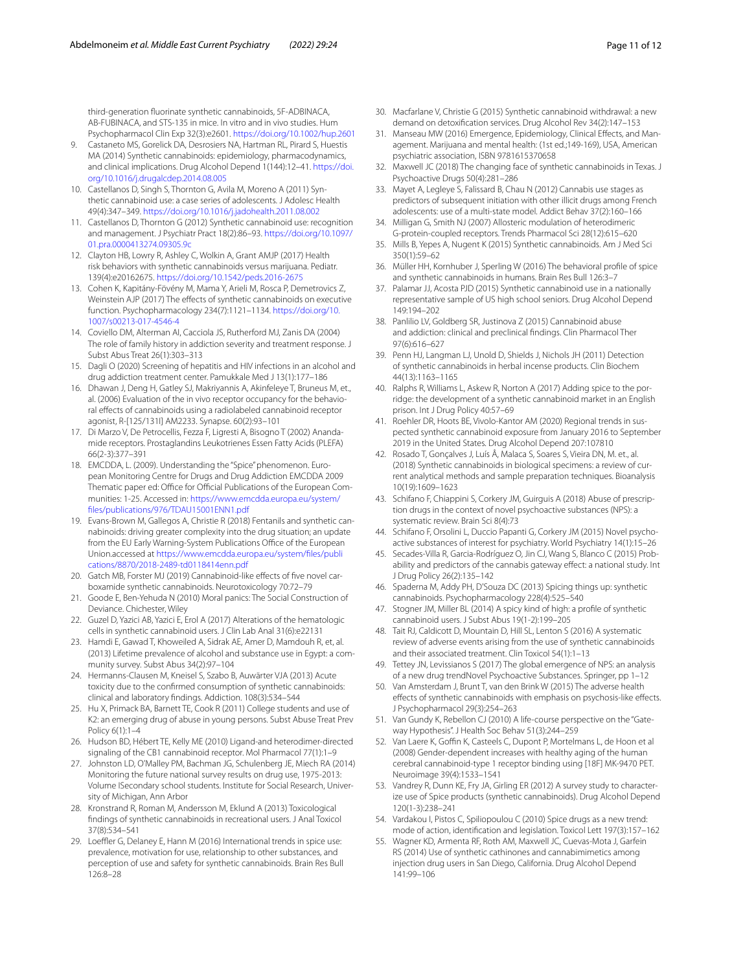third-generation fuorinate synthetic cannabinoids, 5F-ADBINACA, AB-FUBINACA, and STS-135 in mice. In vitro and in vivo studies. Hum Psychopharmacol Clin Exp 32(3):e2601. <https://doi.org/10.1002/hup.2601>

- <span id="page-10-13"></span>9. Castaneto MS, Gorelick DA, Desrosiers NA, Hartman RL, Pirard S, Huestis MA (2014) Synthetic cannabinoids: epidemiology, pharmacodynamics, and clinical implications. Drug Alcohol Depend 1(144):12–41. [https://doi.](https://doi.org/10.1016/j.drugalcdep.2014.08.005) [org/10.1016/j.drugalcdep.2014.08.005](https://doi.org/10.1016/j.drugalcdep.2014.08.005)
- <span id="page-10-34"></span>10. Castellanos D, Singh S, Thornton G, Avila M, Moreno A (2011) Synthetic cannabinoid use: a case series of adolescents. J Adolesc Health 49(4):347–349. <https://doi.org/10.1016/j.jadohealth.2011.08.002>
- <span id="page-10-18"></span>11. Castellanos D, Thornton G (2012) Synthetic cannabinoid use: recognition and management. J Psychiatr Pract 18(2):86–93. [https://doi.org/10.1097/](https://doi.org/10.1097/01.pra.0000413274.09305.9c) [01.pra.0000413274.09305.9c](https://doi.org/10.1097/01.pra.0000413274.09305.9c)
- <span id="page-10-21"></span>12. Clayton HB, Lowry R, Ashley C, Wolkin A, Grant AMJP (2017) Health risk behaviors with synthetic cannabinoids versus marijuana. Pediatr. 139(4):e20162675.<https://doi.org/10.1542/peds.2016-2675>
- <span id="page-10-17"></span>13. Cohen K, Kapitány-Fövény M, Mama Y, Arieli M, Rosca P, Demetrovics Z, Weinstein AJP (2017) The effects of synthetic cannabinoids on executive function. Psychopharmacology 234(7):1121–1134. [https://doi.org/10.](https://doi.org/10.1007/s00213-017-4546-4) [1007/s00213-017-4546-4](https://doi.org/10.1007/s00213-017-4546-4)
- <span id="page-10-28"></span>14. Coviello DM, Alterman AI, Cacciola JS, Rutherford MJ, Zanis DA (2004) The role of family history in addiction severity and treatment response. J Subst Abus Treat 26(1):303–313
- <span id="page-10-46"></span>15. Dagli O (2020) Screening of hepatitis and HIV infections in an alcohol and drug addiction treatment center. Pamukkale Med J 13(1):177–186
- <span id="page-10-33"></span>16. Dhawan J, Deng H, Gatley SJ, Makriyannis A, Akinfeleye T, Bruneus M, et., al. (2006) Evaluation of the in vivo receptor occupancy for the behavioral efects of cannabinoids using a radiolabeled cannabinoid receptor agonist, R-[125/131I] AM2233. Synapse. 60(2):93–101
- <span id="page-10-29"></span>17. Di Marzo V, De Petrocellis, Fezza F, Ligresti A, Bisogno T (2002) Anandamide receptors. Prostaglandins Leukotrienes Essen Fatty Acids (PLEFA) 66(2-3):377–391
- <span id="page-10-8"></span>18. EMCDDA, L. (2009). Understanding the "Spice" phenomenon. European Monitoring Centre for Drugs and Drug Addiction EMCDDA 2009 Thematic paper ed: Office for Official Publications of the European Communities: 1-25. Accessed in: [https://www.emcdda.europa.eu/system/](https://www.emcdda.europa.eu/system/files/publications/976/TDAU15001ENN1.pdf) [fles/publications/976/TDAU15001ENN1.pdf](https://www.emcdda.europa.eu/system/files/publications/976/TDAU15001ENN1.pdf)
- <span id="page-10-6"></span>19. Evans-Brown M, Gallegos A, Christie R (2018) Fentanils and synthetic cannabinoids: driving greater complexity into the drug situation; an update from the EU Early Warning-System Publications Office of the European Union.accessed at [https://www.emcdda.europa.eu/system/fles/publi](https://www.emcdda.europa.eu/system/files/publications/8870/2018-2489-td0118414enn.pdf) [cations/8870/2018-2489-td0118414enn.pdf](https://www.emcdda.europa.eu/system/files/publications/8870/2018-2489-td0118414enn.pdf)
- <span id="page-10-3"></span>20. Gatch MB, Forster MJ (2019) Cannabinoid-like effects of five novel carboxamide synthetic cannabinoids. Neurotoxicology 70:72–79
- <span id="page-10-23"></span>21. Goode E, Ben-Yehuda N (2010) Moral panics: The Social Construction of Deviance. Chichester, Wiley
- <span id="page-10-43"></span>22. Guzel D, Yazici AB, Yazici E, Erol A (2017) Alterations of the hematologic cells in synthetic cannabinoid users. J Clin Lab Anal 31(6):e22131
- <span id="page-10-10"></span>23. Hamdi E, Gawad T, Khoweiled A, Sidrak AE, Amer D, Mamdouh R, et, al. (2013) Lifetime prevalence of alcohol and substance use in Egypt: a community survey. Subst Abus 34(2):97–104
- <span id="page-10-37"></span>24. Hermanns-Clausen M, Kneisel S, Szabo B, Auwärter VJA (2013) Acute toxicity due to the confrmed consumption of synthetic cannabinoids: clinical and laboratory fndings. Addiction. 108(3):534–544
- <span id="page-10-41"></span>25. Hu X, Primack BA, Barnett TE, Cook R (2011) College students and use of K2: an emerging drug of abuse in young persons. Subst Abuse Treat Prev Policy 6(1):1–4
- <span id="page-10-30"></span>26. Hudson BD, Hébert TE, Kelly ME (2010) Ligand-and heterodimer-directed signaling of the CB1 cannabinoid receptor. Mol Pharmacol 77(1):1–9
- <span id="page-10-14"></span>27. Johnston LD, O'Malley PM, Bachman JG, Schulenberg JE, Miech RA (2014) Monitoring the future national survey results on drug use, 1975-2013: Volume ISecondary school students. Institute for Social Research, University of Michigan, Ann Arbor
- <span id="page-10-32"></span>28. Kronstrand R, Roman M, Andersson M, Eklund A (2013) Toxicological fndings of synthetic cannabinoids in recreational users. J Anal Toxicol 37(8):534–541
- <span id="page-10-15"></span>29. Loeffler G, Delaney E, Hann M (2016) International trends in spice use: prevalence, motivation for use, relationship to other substances, and perception of use and safety for synthetic cannabinoids. Brain Res Bull 126:8–28
- <span id="page-10-36"></span>30. Macfarlane V, Christie G (2015) Synthetic cannabinoid withdrawal: a new demand on detoxifcation services. Drug Alcohol Rev 34(2):147–153
- <span id="page-10-7"></span>31. Manseau MW (2016) Emergence, Epidemiology, Clinical Efects, and Management. Marijuana and mental health: (1st ed.;149-169), USA, American psychiatric association, ISBN 9781615370658
- <span id="page-10-22"></span>32. Maxwell JC (2018) The changing face of synthetic cannabinoids in Texas. J Psychoactive Drugs 50(4):281–286
- <span id="page-10-42"></span>33. Mayet A, Legleye S, Falissard B, Chau N (2012) Cannabis use stages as predictors of subsequent initiation with other illicit drugs among French adolescents: use of a multi-state model. Addict Behav 37(2):160–166
- <span id="page-10-31"></span>34. Milligan G, Smith NJ (2007) Allosteric modulation of heterodimeric G-protein-coupled receptors. Trends Pharmacol Sci 28(12):615–620
- <span id="page-10-44"></span>35. Mills B, Yepes A, Nugent K (2015) Synthetic cannabinoids. Am J Med Sci 350(1):59–62
- <span id="page-10-45"></span>36. Müller HH, Kornhuber J, Sperling W (2016) The behavioral profle of spice and synthetic cannabinoids in humans. Brain Res Bull 126:3–7
- <span id="page-10-20"></span>37. Palamar JJ, Acosta PJD (2015) Synthetic cannabinoid use in a nationally representative sample of US high school seniors. Drug Alcohol Depend 149:194–202
- <span id="page-10-25"></span>38. Panlilio LV, Goldberg SR, Justinova Z (2015) Cannabinoid abuse and addiction: clinical and preclinical fndings. Clin Pharmacol Ther 97(6):616–627
- <span id="page-10-5"></span>39. Penn HJ, Langman LJ, Unold D, Shields J, Nichols JH (2011) Detection of synthetic cannabinoids in herbal incense products. Clin Biochem 44(13):1163–1165
- <span id="page-10-39"></span>40. Ralphs R, Williams L, Askew R, Norton A (2017) Adding spice to the porridge: the development of a synthetic cannabinoid market in an English prison. Int J Drug Policy 40:57–69
- <span id="page-10-9"></span>41. Roehler DR, Hoots BE, Vivolo-Kantor AM (2020) Regional trends in suspected synthetic cannabinoid exposure from January 2016 to September 2019 in the United States. Drug Alcohol Depend 207:107810
- <span id="page-10-1"></span>42. Rosado T, Gonçalves J, Luís Â, Malaca S, Soares S, Vieira DN, M. et., al. (2018) Synthetic cannabinoids in biological specimens: a review of current analytical methods and sample preparation techniques. Bioanalysis 10(19):1609–1623
- <span id="page-10-35"></span>43. Schifano F, Chiappini S, Corkery JM, Guirguis A (2018) Abuse of prescription drugs in the context of novel psychoactive substances (NPS): a systematic review. Brain Sci 8(4):73
- <span id="page-10-40"></span>44. Schifano F, Orsolini L, Duccio Papanti G, Corkery JM (2015) Novel psychoactive substances of interest for psychiatry. World Psychiatry 14(1):15–26
- <span id="page-10-11"></span>45. Secades-Villa R, Garcia-Rodríguez O, Jin CJ, Wang S, Blanco C (2015) Probability and predictors of the cannabis gateway effect: a national study. Int J Drug Policy 26(2):135–142
- <span id="page-10-27"></span>46. Spaderna M, Addy PH, D'Souza DC (2013) Spicing things up: synthetic cannabinoids. Psychopharmacology 228(4):525–540
- <span id="page-10-19"></span>47. Stogner JM, Miller BL (2014) A spicy kind of high: a profle of synthetic cannabinoid users. J Subst Abus 19(1-2):199–205
- <span id="page-10-4"></span>48. Tait RJ, Caldicott D, Mountain D, Hill SL, Lenton S (2016) A systematic review of adverse events arising from the use of synthetic cannabinoids and their associated treatment. Clin Toxicol 54(1):1–13
- <span id="page-10-0"></span>49. Tettey JN, Levissianos S (2017) The global emergence of NPS: an analysis of a new drug trendNovel Psychoactive Substances. Springer, pp 1–12
- <span id="page-10-26"></span>50. Van Amsterdam J, Brunt T, van den Brink W (2015) The adverse health efects of synthetic cannabinoids with emphasis on psychosis-like efects. J Psychopharmacol 29(3):254–263
- <span id="page-10-24"></span>51. Van Gundy K, Rebellon CJ (2010) A life-course perspective on the "Gateway Hypothesis". J Health Soc Behav 51(3):244–259
- <span id="page-10-38"></span>52. Van Laere K, Goffin K, Casteels C, Dupont P, Mortelmans L, de Hoon et al (2008) Gender-dependent increases with healthy aging of the human cerebral cannabinoid-type 1 receptor binding using [18F] MK-9470 PET. Neuroimage 39(4):1533–1541
- <span id="page-10-16"></span>53. Vandrey R, Dunn KE, Fry JA, Girling ER (2012) A survey study to characterize use of Spice products (synthetic cannabinoids). Drug Alcohol Depend 120(1-3):238–241
- <span id="page-10-2"></span>54. Vardakou I, Pistos C, Spiliopoulou C (2010) Spice drugs as a new trend: mode of action, identifcation and legislation. Toxicol Lett 197(3):157–162
- <span id="page-10-12"></span>55. Wagner KD, Armenta RF, Roth AM, Maxwell JC, Cuevas-Mota J, Garfein RS (2014) Use of synthetic cathinones and cannabimimetics among injection drug users in San Diego, California. Drug Alcohol Depend 141:99–106